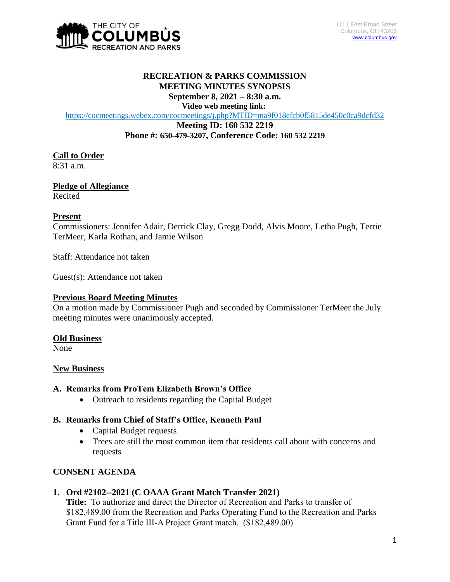

#### **RECREATION & PARKS COMMISSION MEETING MINUTES SYNOPSIS September 8, 2021 – 8:30 a.m.**

**Video web meeting link:**

<https://cocmeetings.webex.com/cocmeetings/j.php?MTID=ma9f018efcb0f5815de450c0ca9dcfd32>

**Meeting ID: 160 532 2219 Phone #: 650-479-3207, Conference Code: 160 532 2219**

### **Call to Order**

8:31 a.m.

**Pledge of Allegiance** Recited

#### **Present**

Commissioners: Jennifer Adair, Derrick Clay, Gregg Dodd, Alvis Moore, Letha Pugh, Terrie TerMeer, Karla Rothan, and Jamie Wilson

Staff: Attendance not taken

Guest(s): Attendance not taken

#### **Previous Board Meeting Minutes**

On a motion made by Commissioner Pugh and seconded by Commissioner TerMeer the July meeting minutes were unanimously accepted.

#### **Old Business**

None

#### **New Business**

### **A. Remarks from ProTem Elizabeth Brown's Office**

• Outreach to residents regarding the Capital Budget

# **B. Remarks from Chief of Staff's Office, Kenneth Paul**

- Capital Budget requests
- Trees are still the most common item that residents call about with concerns and requests

# **CONSENT AGENDA**

#### **1. Ord #2102--2021 (C OAAA Grant Match Transfer 2021)**

**Title:** To authorize and direct the Director of Recreation and Parks to transfer of \$182,489.00 from the Recreation and Parks Operating Fund to the Recreation and Parks Grant Fund for a Title III-A Project Grant match. (\$182,489.00)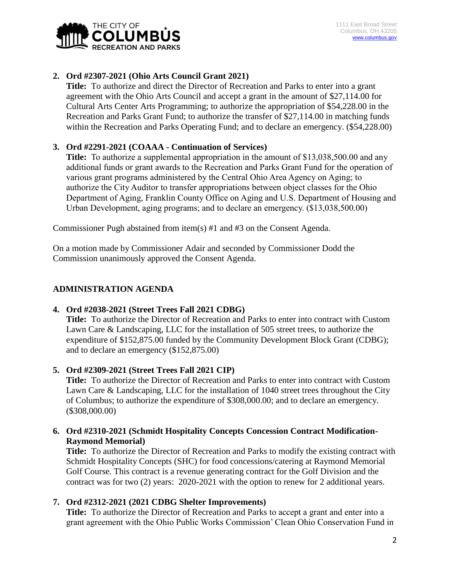

# **2. Ord #2307-2021 (Ohio Arts Council Grant 2021)**

**Title:** To authorize and direct the Director of Recreation and Parks to enter into a grant agreement with the Ohio Arts Council and accept a grant in the amount of \$27,114.00 for Cultural Arts Center Arts Programming; to authorize the appropriation of \$54,228.00 in the Recreation and Parks Grant Fund; to authorize the transfer of \$27,114.00 in matching funds within the Recreation and Parks Operating Fund; and to declare an emergency. (\$54,228.00)

# **3. Ord #2291-2021 (COAAA - Continuation of Services)**

**Title:** To authorize a supplemental appropriation in the amount of \$13,038,500.00 and any additional funds or grant awards to the Recreation and Parks Grant Fund for the operation of various grant programs administered by the Central Ohio Area Agency on Aging; to authorize the City Auditor to transfer appropriations between object classes for the Ohio Department of Aging, Franklin County Office on Aging and U.S. Department of Housing and Urban Development, aging programs; and to declare an emergency. (\$13,038,500.00)

Commissioner Pugh abstained from item(s) #1 and #3 on the Consent Agenda.

On a motion made by Commissioner Adair and seconded by Commissioner Dodd the Commission unanimously approved the Consent Agenda.

# **ADMINISTRATION AGENDA**

# **4. Ord #2038-2021 (Street Trees Fall 2021 CDBG)**

**Title:** To authorize the Director of Recreation and Parks to enter into contract with Custom Lawn Care & Landscaping, LLC for the installation of 505 street trees, to authorize the expenditure of \$152,875.00 funded by the Community Development Block Grant (CDBG); and to declare an emergency (\$152,875.00)

# **5. Ord #2309-2021 (Street Trees Fall 2021 CIP)**

**Title:** To authorize the Director of Recreation and Parks to enter into contract with Custom Lawn Care & Landscaping, LLC for the installation of 1040 street trees throughout the City of Columbus; to authorize the expenditure of \$308,000.00; and to declare an emergency. (\$308,000.00)

# **6. Ord #2310-2021 (Schmidt Hospitality Concepts Concession Contract Modification-Raymond Memorial)**

**Title:** To authorize the Director of Recreation and Parks to modify the existing contract with Schmidt Hospitality Concepts (SHC) for food concessions/catering at Raymond Memorial Golf Course. This contract is a revenue generating contract for the Golf Division and the contract was for two (2) years: 2020-2021 with the option to renew for 2 additional years.

# **7. Ord #2312-2021 (2021 CDBG Shelter Improvements)**

**Title:** To authorize the Director of Recreation and Parks to accept a grant and enter into a grant agreement with the Ohio Public Works Commission' Clean Ohio Conservation Fund in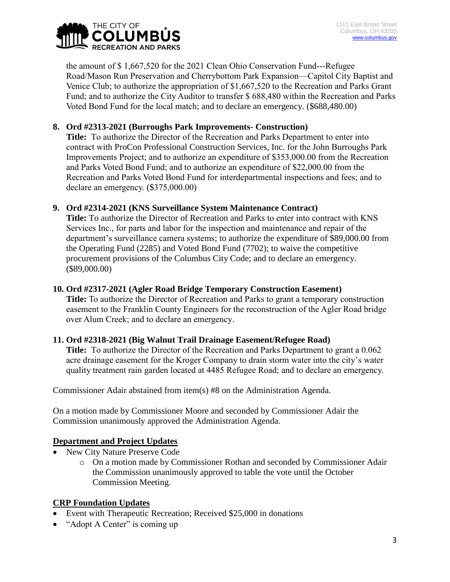

the amount of \$ 1,667,520 for the 2021 Clean Ohio Conservation Fund---Refugee Road/Mason Run Preservation and Cherrybottom Park Expansion—Capitol City Baptist and Venice Club; to authorize the appropriation of \$1,667,520 to the Recreation and Parks Grant Fund; and to authorize the City Auditor to transfer \$ 688,480 within the Recreation and Parks Voted Bond Fund for the local match; and to declare an emergency. (\$688,480.00)

# **8. Ord #2313-2021 (Burroughs Park Improvements- Construction)**

**Title:** To authorize the Director of the Recreation and Parks Department to enter into contract with ProCon Professional Construction Services, Inc. for the John Burroughs Park Improvements Project; and to authorize an expenditure of \$353,000.00 from the Recreation and Parks Voted Bond Fund; and to authorize an expenditure of \$22,000.00 from the Recreation and Parks Voted Bond Fund for interdepartmental inspections and fees; and to declare an emergency. (\$375,000.00)

# **9. Ord #2314-2021 (KNS Surveillance System Maintenance Contract)**

**Title:** To authorize the Director of Recreation and Parks to enter into contract with KNS Services Inc., for parts and labor for the inspection and maintenance and repair of the department's surveillance camera systems; to authorize the expenditure of \$89,000.00 from the Operating Fund (2285) and Voted Bond Fund (7702); to waive the competitive procurement provisions of the Columbus City Code; and to declare an emergency. (\$89,000.00)

### **10. Ord #2317-2021 (Agler Road Bridge Temporary Construction Easement)**

**Title:** To authorize the Director of Recreation and Parks to grant a temporary construction easement to the Franklin County Engineers for the reconstruction of the Agler Road bridge over Alum Creek; and to declare an emergency.

#### **11. Ord #2318-2021 (Big Walnut Trail Drainage Easement/Refugee Road)**

**Title:** To authorize the Director of the Recreation and Parks Department to grant a 0.062 acre drainage easement for the Kroger Company to drain storm water into the city's water quality treatment rain garden located at 4485 Refugee Road; and to declare an emergency.

Commissioner Adair abstained from item(s) #8 on the Administration Agenda.

On a motion made by Commissioner Moore and seconded by Commissioner Adair the Commission unanimously approved the Administration Agenda.

# **Department and Project Updates**

- New City Nature Preserve Code
	- o On a motion made by Commissioner Rothan and seconded by Commissioner Adair the Commission unanimously approved to table the vote until the October Commission Meeting.

# **CRP Foundation Updates**

- Event with Therapeutic Recreation; Received \$25,000 in donations
- "Adopt A Center" is coming up